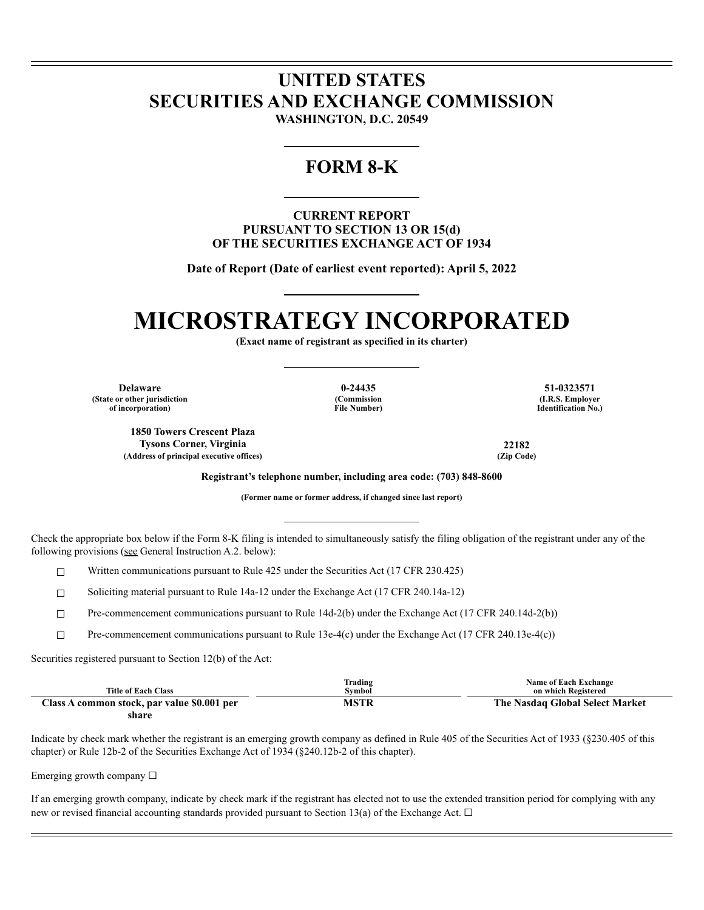## **UNITED STATES SECURITIES AND EXCHANGE COMMISSION**

**WASHINGTON, D.C. 20549**

### **FORM 8-K**

**CURRENT REPORT PURSUANT TO SECTION 13 OR 15(d) OF THE SECURITIES EXCHANGE ACT OF 1934**

**Date of Report (Date of earliest event reported): April 5, 2022**

# **MICROSTRATEGY INCORPORATED**

**(Exact name of registrant as specified in its charter)**

**Delaware 0-24435 51-0323571 (State or other jurisdiction of incorporation)**

**(Commission File Number)**

**(I.R.S. Employer Identification No.)**

**1850 Towers Crescent Plaza Tysons Corner, Virginia 22182**  $(Address of principal executive offices)$ 

**Registrant's telephone number, including area code: (703) 848-8600**

**(Former name or former address, if changed since last report)**

Check the appropriate box below if the Form 8-K filing is intended to simultaneously satisfy the filing obligation of the registrant under any of the following provisions (see General Instruction A.2. below):

 $\Box$  Written communications pursuant to Rule 425 under the Securities Act (17 CFR 230.425)

☐ Soliciting material pursuant to Rule 14a-12 under the Exchange Act (17 CFR 240.14a-12)

☐ Pre-commencement communications pursuant to Rule 14d-2(b) under the Exchange Act (17 CFR 240.14d-2(b))

☐ Pre-commencement communications pursuant to Rule 13e-4(c) under the Exchange Act (17 CFR 240.13e-4(c))

Securities registered pursuant to Section 12(b) of the Act:

|                                             | Trading     | <b>Name of Each Exchange</b>    |
|---------------------------------------------|-------------|---------------------------------|
| <b>Title of Each Class</b>                  | Symbol      | on which Registered             |
| Class A common stock, par value \$0.001 per | <b>MSTP</b> | The Nasdaq Global Select Market |

**share**

Indicate by check mark whether the registrant is an emerging growth company as defined in Rule 405 of the Securities Act of 1933 (§230.405 of this chapter) or Rule 12b-2 of the Securities Exchange Act of 1934 (§240.12b-2 of this chapter).

Emerging growth company  $\Box$ 

If an emerging growth company, indicate by check mark if the registrant has elected not to use the extended transition period for complying with any new or revised financial accounting standards provided pursuant to Section 13(a) of the Exchange Act.  $\Box$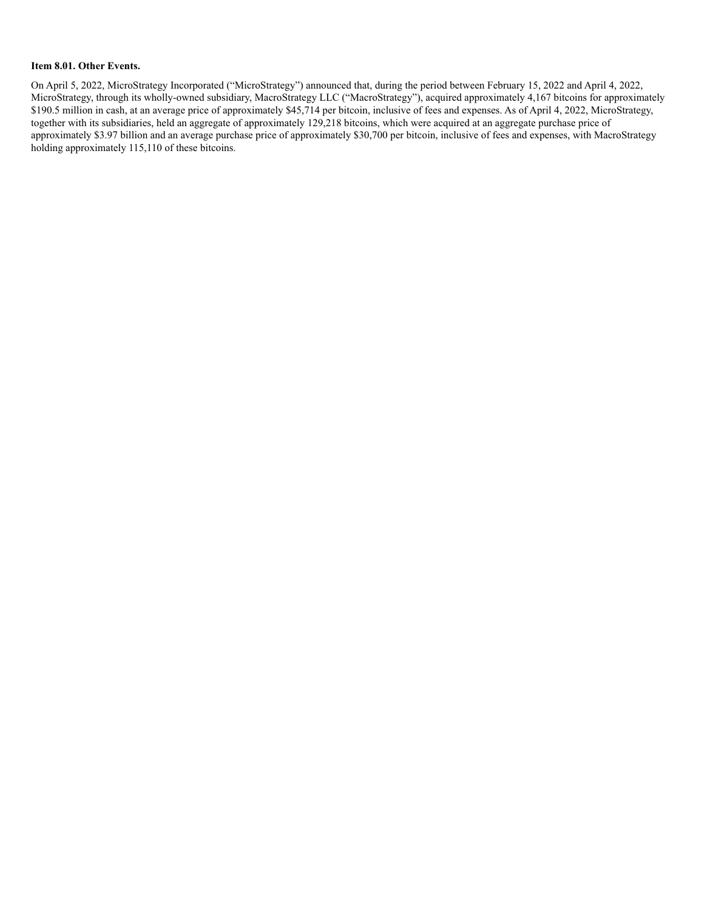#### **Item 8.01. Other Events.**

On April 5, 2022, MicroStrategy Incorporated ("MicroStrategy") announced that, during the period between February 15, 2022 and April 4, 2022, MicroStrategy, through its wholly-owned subsidiary, MacroStrategy LLC ("MacroStrategy"), acquired approximately 4,167 bitcoins for approximately \$190.5 million in cash, at an average price of approximately \$45,714 per bitcoin, inclusive of fees and expenses. As of April 4, 2022, MicroStrategy, together with its subsidiaries, held an aggregate of approximately 129,218 bitcoins, which were acquired at an aggregate purchase price of approximately \$3.97 billion and an average purchase price of approximately \$30,700 per bitcoin, inclusive of fees and expenses, with MacroStrategy holding approximately 115,110 of these bitcoins.